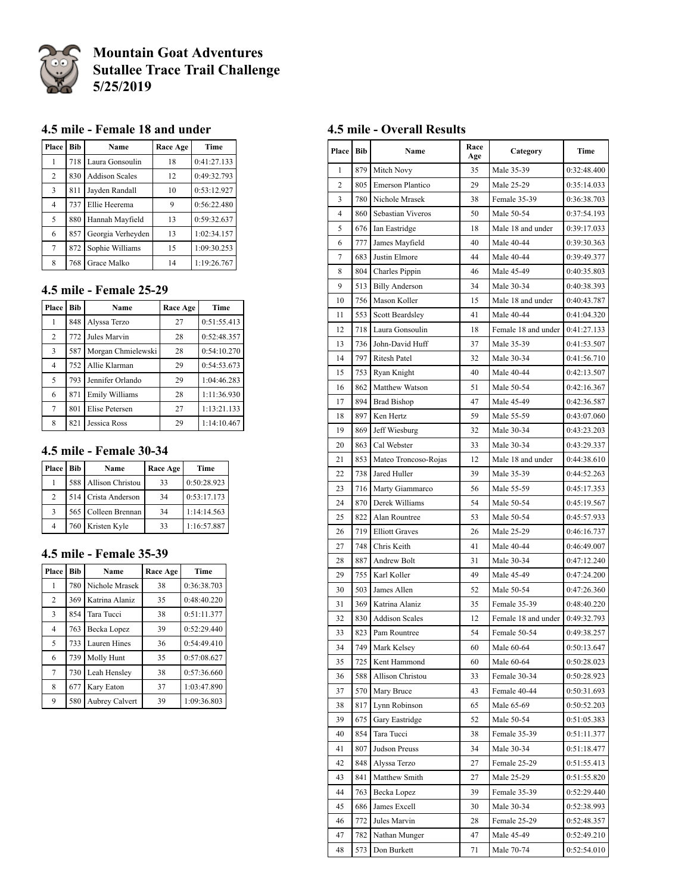

**Mountain Goat Adventures Sutallee Trace Trail Challenge 5/25/2019**

## **4.5 mile - Female 18 and under**

| Place | <b>Bib</b> | Name                  | Race Age | <b>Time</b> |
|-------|------------|-----------------------|----------|-------------|
|       | 718        | Laura Gonsoulin       | 18       | 0:41:27.133 |
| 2     | 830        | <b>Addison Scales</b> | 12       | 0:49:32.793 |
| 3     | 811        | Jayden Randall        | 10       | 0:53:12.927 |
| 4     | 737        | Ellie Heerema         | 9        | 0:56:22.480 |
| 5     | 880        | Hannah Mayfield       | 13       | 0:59:32.637 |
| 6     | 857        | Georgia Verheyden     | 13       | 1:02:34.157 |
| 7     | 872        | Sophie Williams       | 15       | 1:09:30.253 |
| 8     | 768        | Grace Malko           | 14       | 1:19:26.767 |

## **4.5 mile - Female 25-29**

| Place          | Bib | Name               | Race Age | Time        |
|----------------|-----|--------------------|----------|-------------|
| 1              | 848 | Alyssa Terzo       | 27       | 0:51:55.413 |
| $\overline{c}$ | 772 | Jules Marvin       | 28       | 0:52:48.357 |
| 3              | 587 | Morgan Chmielewski | 28       | 0:54:10.270 |
| $\overline{4}$ | 752 | Allie Klarman      | 29       | 0:54:53.673 |
| 5              | 793 | Jennifer Orlando   | 29       | 1:04:46.283 |
| 6              | 871 | Emily Williams     | 28       | 1:11:36.930 |
| 7              | 801 | Elise Petersen     | 27       | 1:13:21.133 |
| 8              | 821 | Jessica Ross       | 29       | 1:14:10.467 |

### **4.5 mile - Female 30-34**

| Place        | <b>Bib</b> | Name                | Race Age | Time        |
|--------------|------------|---------------------|----------|-------------|
|              | 588        | Allison Christou    | 33       | 0:50:28.923 |
| 2            |            | 514 Crista Anderson | 34       | 0:53:17.173 |
| $\mathbf{3}$ |            | 565 Colleen Brennan | 34       | 1:14:14.563 |
| 4            | 760        | Kristen Kyle        | 33       | 1:16:57.887 |

### **4.5 mile - Female 35-39**

| Place          | <b>Bib</b> | Name           | Race Age | Time        |
|----------------|------------|----------------|----------|-------------|
| 1              | 780        | Nichole Mrasek | 38       | 0:36:38.703 |
| 2              | 369        | Katrina Alaniz | 35       | 0:48:40.220 |
| 3              | 854        | Tara Tucci     | 38       | 0:51:11.377 |
| $\overline{4}$ | 763        | Becka Lopez    | 39       | 0:52:29.440 |
| 5              | 733        | Lauren Hines   | 36       | 0:54:49.410 |
| 6              | 739        | Molly Hunt     | 35       | 0:57:08.627 |
| 7              | 730        | Leah Henslev   | 38       | 0:57:36.660 |
| 8              | 677        | Kary Eaton     | 37       | 1:03:47.890 |
| 9              | 580        | Aubrey Calvert | 39       | 1:09:36.803 |

#### **4.5 mile - Overall Results**

| Place        | Bib | Name                    | Race<br>Age | Category            | Time        |
|--------------|-----|-------------------------|-------------|---------------------|-------------|
| $\mathbf{1}$ | 879 | Mitch Novy              | 35          | Male 35-39          | 0:32:48.400 |
| 2            | 805 | <b>Emerson Plantico</b> | 29          | Male 25-29          | 0:35:14.033 |
| 3            | 780 | Nichole Mrasek          | 38          | Female 35-39        | 0:36:38.703 |
| 4            | 860 | Sebastian Viveros       | 50          | Male 50-54          | 0:37:54.193 |
| 5            | 676 | Ian Eastridge           | 18          | Male 18 and under   | 0:39:17.033 |
| 6            | 777 | James Mayfield          | 40          | Male 40-44          | 0:39:30.363 |
| 7            | 683 | Justin Elmore           | 44          | Male 40-44          | 0:39:49.377 |
| 8            | 804 | Charles Pippin          | 46          | Male 45-49          | 0:40:35.803 |
| 9            | 513 | <b>Billy Anderson</b>   | 34          | Male 30-34          | 0:40:38.393 |
| 10           | 756 | Mason Koller            | 15          | Male 18 and under   | 0:40:43.787 |
| 11           | 553 | <b>Scott Beardsley</b>  | 41          | Male 40-44          | 0:41:04.320 |
| 12           | 718 | Laura Gonsoulin         | 18          | Female 18 and under | 0:41:27.133 |
| 13           | 736 | John-David Huff         | 37          | Male 35-39          | 0:41:53.507 |
| 14           | 797 | Ritesh Patel            | 32          | Male 30-34          | 0:41:56.710 |
| 15           | 753 | Ryan Knight             | 40          | Male 40-44          | 0:42:13.507 |
| 16           | 862 | Matthew Watson          | 51          | Male 50-54          | 0:42:16.367 |
| 17           | 894 | <b>Brad Bishop</b>      | 47          | Male 45-49          | 0:42:36.587 |
| 18           | 897 | Ken Hertz               | 59          | Male 55-59          | 0:43:07.060 |
| 19           | 869 | Jeff Wiesburg           | 32          | Male 30-34          | 0:43:23.203 |
| 20           | 863 | Cal Webster             | 33          | Male 30-34          | 0:43:29.337 |
| 21           | 853 | Mateo Troncoso-Rojas    | 12          | Male 18 and under   | 0:44:38.610 |
| 22           | 738 | Jared Huller            | 39          | Male 35-39          | 0:44:52.263 |
| 23           | 716 | Marty Giammarco         | 56          | Male 55-59          | 0:45:17.353 |
| 24           | 870 | Derek Williams          | 54          | Male 50-54          | 0:45:19.567 |
| 25           | 822 | Alan Rountree           | 53          | Male 50-54          | 0:45:57.933 |
| 26           | 719 | <b>Elliott Graves</b>   | 26          | Male 25-29          | 0:46:16.737 |
| 27           | 748 | Chris Keith             | 41          | Male 40-44          | 0:46:49.007 |
| 28           | 887 | Andrew Bolt             | 31          | Male 30-34          | 0:47:12.240 |
| 29           | 755 | Karl Koller             | 49          | Male 45-49          | 0:47:24.200 |
| 30           | 503 | James Allen             | 52          | Male 50-54          | 0:47:26.360 |
| 31           | 369 | Katrina Alaniz          | 35          | Female 35-39        | 0:48:40.220 |
| 32           | 830 | <b>Addison Scales</b>   | 12          | Female 18 and under | 0:49:32.793 |
| 33           | 823 | Pam Rountree            | 54          | Female 50-54        | 0:49:38.257 |
| 34           |     | 749 Mark Kelsey         | 60          | Male 60-64          | 0:50:13.647 |
| 35           | 725 | Kent Hammond            | 60          | Male 60-64          | 0:50:28.023 |
| 36           | 588 | Allison Christou        | 33          | Female 30-34        | 0:50:28.923 |
| 37           | 570 | Mary Bruce              | 43          | Female 40-44        | 0:50:31.693 |
| 38           | 817 | Lynn Robinson           | 65          | Male 65-69          | 0:50:52.203 |
| 39           | 675 | Gary Eastridge          | 52          | Male 50-54          | 0:51:05.383 |
| 40           | 854 | Tara Tucci              | 38          | Female 35-39        | 0:51:11.377 |
| 41           | 807 | Judson Preuss           | 34          | Male 30-34          | 0:51:18.477 |
| 42           | 848 | Alyssa Terzo            | 27          | Female 25-29        | 0:51:55.413 |
| 43           | 841 | Matthew Smith           | 27          | Male 25-29          | 0:51:55.820 |
| 44           | 763 | Becka Lopez             | 39          | Female 35-39        | 0:52:29.440 |
| 45           | 686 | James Excell            | 30          | Male 30-34          | 0:52:38.993 |
| 46           | 772 | Jules Marvin            | 28          | Female 25-29        | 0:52:48.357 |
| 47           | 782 | Nathan Munger           | 47          | Male 45-49          | 0:52:49.210 |
| 48           | 573 | Don Burkett             | 71          | Male 70-74          | 0:52:54.010 |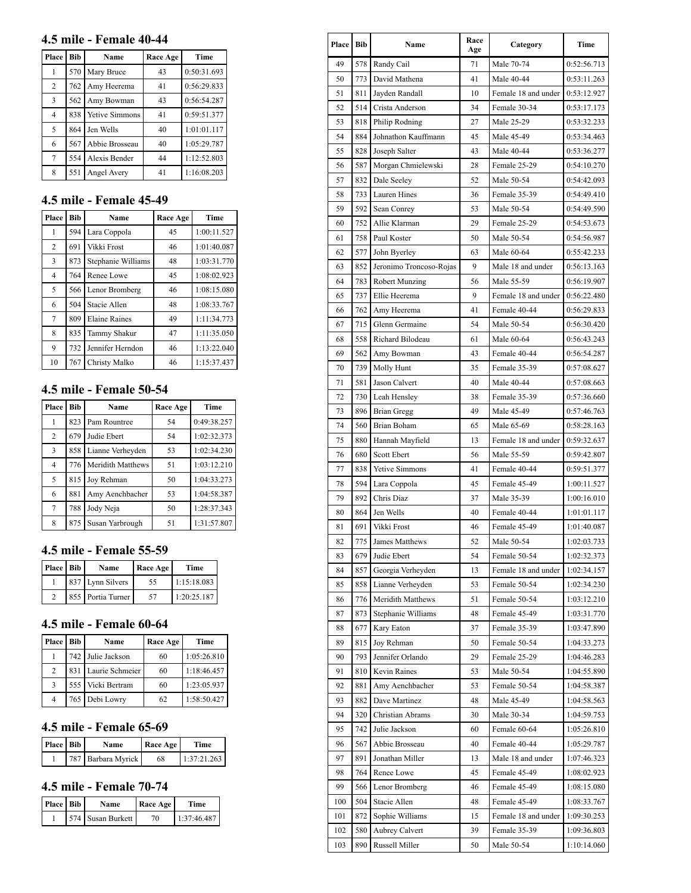#### **4.5 mile - Female 40-44**

| Place          | <b>Bib</b> | Name                  | Race Age | <b>Time</b> |
|----------------|------------|-----------------------|----------|-------------|
| 1              | 570        | Mary Bruce            | 43       | 0:50:31.693 |
| $\overline{2}$ | 762        | Amy Heerema           | 41       | 0:56:29.833 |
| 3              | 562        | Amy Bowman            | 43       | 0:56:54.287 |
| 4              | 838        | <b>Yetive Simmons</b> | 41       | 0:59:51.377 |
| 5              | 864        | Jen Wells             | 40       | 1:01:01.117 |
| 6              | 567        | Abbie Brosseau        | 40       | 1:05:29.787 |
| 7              | 554        | Alexis Bender         | 44       | 1:12:52.803 |
| 8              | 551        | Angel Avery           | 41       | 1:16:08.203 |

### **4.5 mile - Female 45-49**

| Place          | <b>Bib</b> | Name                 | Race Age | Time        |
|----------------|------------|----------------------|----------|-------------|
| 1              | 594        | Lara Coppola         | 45       | 1:00:11.527 |
| $\overline{2}$ | 691        | Vikki Frost          | 46       | 1:01:40.087 |
| 3              | 873        | Stephanie Williams   | 48       | 1:03:31.770 |
| 4              | 764        | Renee Lowe           | 45       | 1:08:02.923 |
| 5              | 566        | Lenor Bromberg       | 46       | 1:08:15.080 |
| 6              | 504        | Stacie Allen         | 48       | 1:08:33.767 |
| 7              | 809        | <b>Elaine Raines</b> | 49       | 1:11:34.773 |
| 8              | 835        | Tammy Shakur         | 47       | 1:11:35.050 |
| 9              | 732        | Jennifer Herndon     | 46       | 1:13:22.040 |
| 10             | 767        | Christy Malko        | 46       | 1:15:37.437 |

## **4.5 mile - Female 50-54**

| Place          | <b>Bib</b> | Name              | Race Age | Time        |
|----------------|------------|-------------------|----------|-------------|
| 1              | 823        | Pam Rountree      | 54       | 0:49:38.257 |
| 2              | 679        | Judie Ebert       | 54       | 1:02:32.373 |
| 3              | 858        | Lianne Verheyden  | 53       | 1:02:34.230 |
| $\overline{4}$ | 776        | Meridith Matthews | 51       | 1:03:12.210 |
| 5              | 815        | Joy Rehman        | 50       | 1:04:33.273 |
| 6              | 881        | Amy Aenchbacher   | 53       | 1:04:58.387 |
| 7              | 788        | Jody Neja         | 50       | 1:28:37.343 |
| 8              | 875        | Susan Yarbrough   | 51       | 1:31:57.807 |

#### **4.5 mile - Female 55-59**

| Place Bib | Name              | Race Age | Time        |
|-----------|-------------------|----------|-------------|
|           | 837 Lynn Silvers  | 55       | 1:15:18.083 |
|           | 855 Portia Turner | 57       | 1:20:25.187 |

## **4.5 mile - Female 60-64**

| Place          | <b>Bib</b> | Name              | Race Age | Time        |
|----------------|------------|-------------------|----------|-------------|
|                |            | 742 Julie Jackson | 60       | 1:05:26.810 |
| $\mathfrak{D}$ | 831        | Laurie Schmeier   | 60       | 1:18:46.457 |
| $\mathcal{R}$  |            | 555 Vicki Bertram | 60       | 1:23:05.937 |
|                |            | 765 Debi Lowry    | 62       | 1:58:50.427 |

# **4.5 mile - Female 65-69**

| Place Bib | <b>Name</b>        | <b>Race Age</b> | Time        |
|-----------|--------------------|-----------------|-------------|
|           | 787 Barbara Myrick | 68              | 1:37:21.263 |

# **4.5 mile - Female 70-74**

| <b>Place Bib</b> | Name              | Race Age | Time        |
|------------------|-------------------|----------|-------------|
|                  | 574 Susan Burkett | 70       | 1:37:46.487 |

| Place | <b>Bib</b> | Name                    | Race<br>Age | Category            | Time        |
|-------|------------|-------------------------|-------------|---------------------|-------------|
| 49    | 578        | Randy Cail              | 71          | Male 70-74          | 0:52:56.713 |
| 50    | 773        | David Mathena           | 41          | Male 40-44          | 0:53:11.263 |
| 51    | 811        | Jayden Randall          | 10          | Female 18 and under | 0:53:12.927 |
| 52    | 514        | Crista Anderson         | 34          | Female 30-34        | 0:53:17.173 |
| 53    | 818        | Philip Rodning          | 27          | Male 25-29          | 0:53:32.233 |
| 54    | 884        | Johnathon Kauffmann     | 45          | Male 45-49          | 0:53:34.463 |
| 55    | 828        | Joseph Salter           | 43          | Male 40-44          | 0:53:36.277 |
| 56    | 587        | Morgan Chmielewski      | 28          | Female 25-29        | 0:54:10.270 |
| 57    | 832        | Dale Seeley             | 52          | Male 50-54          | 0:54:42.093 |
| 58    | 733        | Lauren Hines            | 36          | Female 35-39        | 0:54:49.410 |
| 59    | 592        | Sean Conrey             | 53          | Male 50-54          | 0:54:49.590 |
| 60    | 752        | Allie Klarman           | 29          | Female 25-29        | 0:54:53.673 |
| 61    | 758        | Paul Koster             | 50          | Male 50-54          | 0:54:56.987 |
| 62    | 577        | John Byerley            | 63          | Male 60-64          | 0:55:42.233 |
| 63    | 852        | Jeronimo Troncoso-Rojas | 9           | Male 18 and under   | 0:56:13.163 |
| 64    | 783        | Robert Munzing          | 56          | Male 55-59          | 0:56:19.907 |
| 65    | 737        | Ellie Heerema           | 9           | Female 18 and under | 0:56:22.480 |
| 66    | 762        | Amy Heerema             | 41          | Female 40-44        | 0:56:29.833 |
| 67    | 715        | Glenn Germaine          | 54          | Male 50-54          | 0:56:30.420 |
| 68    | 558        | Richard Bilodeau        | 61          | Male 60-64          | 0:56:43.243 |
| 69    | 562        | Amy Bowman              | 43          | Female 40-44        | 0:56:54.287 |
| 70    | 739        | Molly Hunt              | 35          | Female 35-39        | 0:57:08.627 |
| 71    | 581        | Jason Calvert           | 40          | Male 40-44          | 0:57:08.663 |
| 72    | 730        | Leah Hensley            | 38          | Female 35-39        | 0:57:36.660 |
| 73    | 896        | <b>Brian Gregg</b>      | 49          | Male 45-49          | 0:57:46.763 |
| 74    | 560        | Brian Boham             | 65          | Male 65-69          | 0:58:28.163 |
| 75    | 880        | Hannah Mayfield         | 13          | Female 18 and under | 0:59:32.637 |
| 76    | 680        | Scott Ebert             | 56          | Male 55-59          | 0:59:42.807 |
| 77    | 838        | Yetive Simmons          | 41          | Female 40-44        | 0:59:51.377 |
| 78    | 594        | Lara Coppola            | 45          | Female 45-49        | 1:00:11.527 |
| 79    | 892        | Chris Diaz              | 37          | Male 35-39          | 1:00:16.010 |
| 80    | 864        | Jen Wells               | 40          | Female 40-44        | 1:01:01.117 |
| 81    | 691        | Vikki Frost             | 46          | Female 45-49        | 1:01:40.087 |
| 82    |            | $775\,$ James Matthews  | 52          | Male 50-54          | 1:02:03.733 |
| 83    | 679        | Judie Ebert             | 54          | Female 50-54        | 1:02:32.373 |
| 84    | 857        | Georgia Verheyden       | 13          | Female 18 and under | 1:02:34.157 |
| 85    | 858        | Lianne Verheyden        | 53          | Female 50-54        | 1:02:34.230 |
| 86    | 776        | Meridith Matthews       | 51          | Female 50-54        | 1:03:12.210 |
| 87    | 873        | Stephanie Williams      | 48          | Female 45-49        | 1:03:31.770 |
| 88    | 677        | Kary Eaton              | 37          | Female 35-39        | 1:03:47.890 |
| 89    | 815        | Joy Rehman              | 50          | Female 50-54        | 1:04:33.273 |
| 90    | 793        | Jennifer Orlando        | 29          | Female 25-29        | 1:04:46.283 |
| 91    | 810        | Kevin Raines            | 53          | Male 50-54          | 1:04:55.890 |
| 92    | 881        | Amy Aenchbacher         | 53          | Female 50-54        | 1:04:58.387 |
| 93    | 882        | Dave Martinez           | 48          | Male 45-49          | 1:04:58.563 |
| 94    | 320        | Christian Abrams        | 30          | Male 30-34          | 1:04:59.753 |
| 95    | 742        | Julie Jackson           | 60          | Female 60-64        | 1:05:26.810 |
| 96    | 567        | Abbie Brosseau          | 40          | Female 40-44        | 1:05:29.787 |
| 97    | 891        | Jonathan Miller         | 13          | Male 18 and under   | 1:07:46.323 |
| 98    | 764        | Renee Lowe              | 45          | Female 45-49        | 1:08:02.923 |
| 99    | 566        | Lenor Bromberg          | 46          | Female 45-49        | 1:08:15.080 |
| 100   | 504        | Stacie Allen            | 48          | Female 45-49        | 1:08:33.767 |
| 101   | 872        | Sophie Williams         | 15          | Female 18 and under | 1:09:30.253 |
| 102   | 580        | Aubrey Calvert          | 39          | Female 35-39        | 1:09:36.803 |
| 103   | 890        | Russell Miller          | 50          | Male 50-54          | 1:10:14.060 |

 $\top$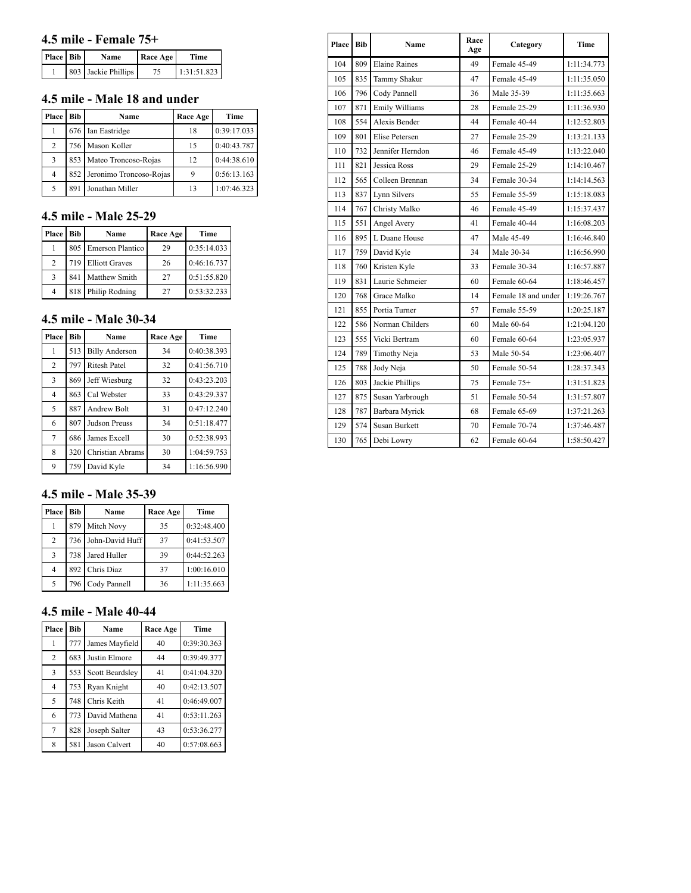#### **4.5 mile - Female 75+**

| Place Bib | Name                | Race Age | <b>Time</b> |
|-----------|---------------------|----------|-------------|
|           | 803 Jackie Phillips | 75       | 1:31:51.823 |

### **4.5 mile - Male 18 and under**

| Place | <b>Bib</b> | Name                    | Race Age | Time        |
|-------|------------|-------------------------|----------|-------------|
| 1     |            | 676 Ian Eastridge       | 18       | 0:39:17.033 |
| 2     |            | 756 Mason Koller        | 15       | 0:40:43.787 |
| 3     | 853        | Mateo Troncoso-Rojas    | 12       | 0:44:38.610 |
| 4     | 852        | Jeronimo Troncoso-Rojas | 9        | 0:56:13.163 |
| 5     | 891        | Jonathan Miller         | 13       | 1:07:46.323 |

#### **4.5 mile - Male 25-29**

| Place Bib      | Name                 | Race Age | Time        |
|----------------|----------------------|----------|-------------|
|                | 805 Emerson Plantico | 29       | 0:35:14.033 |
| $\mathfrak{D}$ | 719 Elliott Graves   | 26       | 0:46:16.737 |
| 3              | 841 Matthew Smith    | 27       | 0:51:55.820 |
| 4              | 818 Philip Rodning   | 27       | 0:53:32.233 |

### **4.5 mile - Male 30-34**

| Place          | <b>Bib</b> | Name                    | Race Age | Time        |
|----------------|------------|-------------------------|----------|-------------|
| 1              | 513        | <b>Billy Anderson</b>   | 34       | 0:40:38.393 |
| $\overline{2}$ | 797        | <b>Ritesh Patel</b>     | 32       | 0:41:56.710 |
| 3              | 869        | Jeff Wiesburg           | 32       | 0:43:23.203 |
| $\overline{4}$ | 863        | Cal Webster             | 33       | 0:43:29.337 |
| 5              | 887        | Andrew Bolt             | 31       | 0:47:12.240 |
| 6              | 807        | <b>Judson Preuss</b>    | 34       | 0:51:18.477 |
| 7              | 686        | James Excell            | 30       | 0:52:38.993 |
| 8              | 320        | <b>Christian Abrams</b> | 30       | 1:04:59.753 |
| 9              | 759        | David Kyle              | 34       | 1:16:56.990 |

#### **4.5 mile - Male 35-39**

| Place | <b>Bib</b> | Name            | Race Age | Time        |
|-------|------------|-----------------|----------|-------------|
|       | 879        | Mitch Novy      | 35       | 0:32:48.400 |
| 2     | 736        | John-David Huff | 37       | 0:41:53.507 |
| 3     | 738        | Jared Huller    | 39       | 0:44:52.263 |
| 4     | 892        | Chris Diaz      | 37       | 1:00:16.010 |
| 5     | 796        | Cody Pannell    | 36       | 1:11:35.663 |

#### **4.5 mile - Male 40-44**

| Place          | <b>Bib</b> | Name                   | Race Age | Time        |
|----------------|------------|------------------------|----------|-------------|
| 1              | 777        | James Mayfield         | 40       | 0:39:30.363 |
| 2              | 683        | Justin Elmore          | 44       | 0:39:49.377 |
| 3              | 553        | <b>Scott Beardsley</b> | 41       | 0:41:04.320 |
| $\overline{4}$ | 753        | Ryan Knight            | 40       | 0:42:13.507 |
| 5              | 748        | Chris Keith            | 41       | 0:46:49.007 |
| 6              | 773        | David Mathena          | 41       | 0:53:11.263 |
| 7              | 828        | Joseph Salter          | 43       | 0:53:36.277 |
| 8              | 581        | Jason Calvert          | 40       | 0:57:08.663 |

| Place | <b>Bib</b> | Name                  | Race<br>Age | Category            | <b>Time</b> |
|-------|------------|-----------------------|-------------|---------------------|-------------|
| 104   | 809        | <b>Elaine Raines</b>  | 49          | Female 45-49        | 1:11:34.773 |
| 105   | 835        | Tammy Shakur          | 47          | Female 45-49        | 1:11:35.050 |
| 106   | 796        | Cody Pannell          | 36          | Male 35-39          | 1:11:35.663 |
| 107   | 871        | Emily Williams        | 28          | Female 25-29        | 1:11:36.930 |
| 108   | 554        | Alexis Bender         | 44          | Female 40-44        | 1:12:52.803 |
| 109   | 801        | <b>Elise Petersen</b> | 27          | Female 25-29        | 1:13:21.133 |
| 110   | 732        | Jennifer Herndon      | 46          | Female 45-49        | 1:13:22.040 |
| 111   | 821        | Jessica Ross          | 29          | Female 25-29        | 1:14:10.467 |
| 112   | 565        | Colleen Brennan       | 34          | Female 30-34        | 1:14:14.563 |
| 113   | 837        | Lynn Silvers          | 55          | Female 55-59        | 1:15:18.083 |
| 114   | 767        | Christy Malko         | 46          | Female 45-49        | 1:15:37.437 |
| 115   | 551        | Angel Avery           | 41          | Female 40-44        | 1:16:08.203 |
| 116   | 895        | L Duane House         | 47          | Male 45-49          | 1:16:46.840 |
| 117   | 759        | David Kyle            | 34          | Male 30-34          | 1:16:56.990 |
| 118   | 760        | Kristen Kyle          | 33          | Female 30-34        | 1:16:57.887 |
| 119   | 831        | Laurie Schmeier       | 60          | Female 60-64        | 1:18:46.457 |
| 120   | 768        | Grace Malko           | 14          | Female 18 and under | 1:19:26.767 |
| 121   | 855        | Portia Turner         | 57          | Female 55-59        | 1:20:25.187 |
| 122   | 586        | Norman Childers       | 60          | Male 60-64          | 1:21:04.120 |
| 123   | 555        | Vicki Bertram         | 60          | Female 60-64        | 1:23:05.937 |
| 124   | 789        | Timothy Neja          | 53          | Male 50-54          | 1:23:06.407 |
| 125   | 788        | Jody Neja             | 50          | Female 50-54        | 1:28:37.343 |
| 126   | 803        | Jackie Phillips       | 75          | Female 75+          | 1:31:51.823 |
| 127   | 875        | Susan Yarbrough       | 51          | Female 50-54        | 1:31:57.807 |
| 128   | 787        | Barbara Myrick        | 68          | Female 65-69        | 1:37:21.263 |
| 129   | 574        | <b>Susan Burkett</b>  | 70          | Female 70-74        | 1:37:46.487 |
| 130   | 765        | Debi Lowry            | 62          | Female 60-64        | 1:58:50.427 |